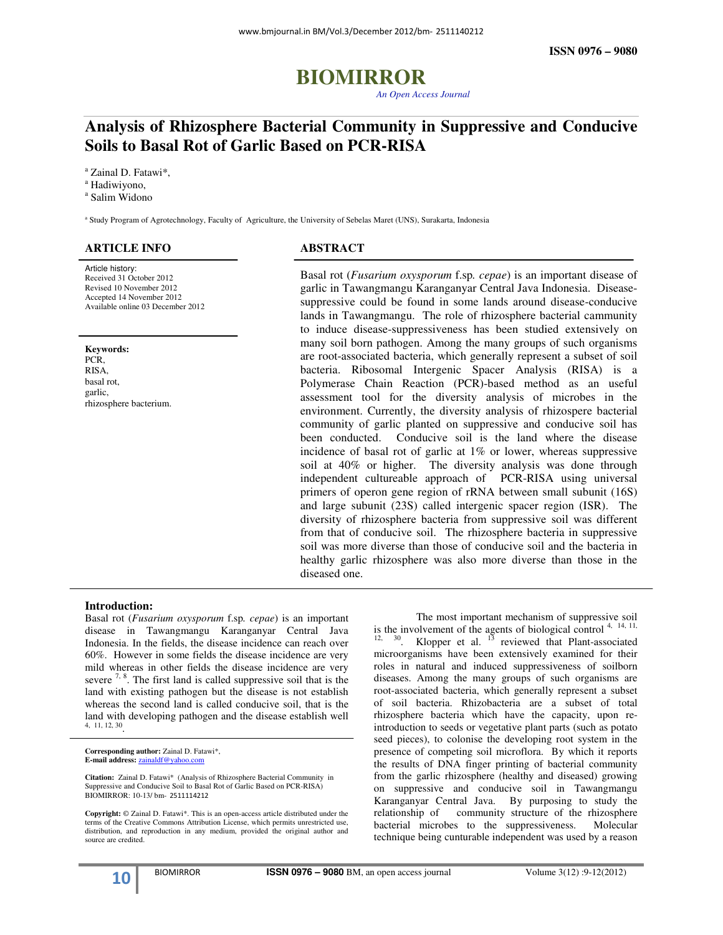# **BIOMIRROR** *An Open Access Journal*

### **Analysis of Rhizosphere Bacterial Community in Suppressive and Conducive Soils to Basal Rot of Garlic Based on PCR-RISA**

a Zainal D. Fatawi\*,

<sup>a</sup> Hadiwiyono,

a Salim Widono

a Study Program of Agrotechnology, Faculty of Agriculture, the University of Sebelas Maret (UNS), Surakarta, Indonesia

#### **ARTICLE INFO**

Article history: Received 31 October 2012 Revised 10 November 2012 Accepted 14 November 2012 Available online 03 December 2012

**Keywords:**  PCR, RISA, basal rot, garlic, rhizosphere bacterium.

ī

#### **ABSTRACT**

Basal rot (*Fusarium oxysporum* f.sp*. cepae*) is an important disease of garlic in Tawangmangu Karanganyar Central Java Indonesia. Diseasesuppressive could be found in some lands around disease-conducive lands in Tawangmangu. The role of rhizosphere bacterial cammunity to induce disease-suppressiveness has been studied extensively on many soil born pathogen. Among the many groups of such organisms are root-associated bacteria, which generally represent a subset of soil bacteria. Ribosomal Intergenic Spacer Analysis (RISA) is a Polymerase Chain Reaction (PCR)-based method as an useful assessment tool for the diversity analysis of microbes in the environment. Currently, the diversity analysis of rhizospere bacterial community of garlic planted on suppressive and conducive soil has been conducted. Conducive soil is the land where the disease incidence of basal rot of garlic at 1% or lower, whereas suppressive soil at 40% or higher. The diversity analysis was done through independent cultureable approach of PCR-RISA using universal primers of operon gene region of rRNA between small subunit (16S) and large subunit (23S) called intergenic spacer region (ISR). The diversity of rhizosphere bacteria from suppressive soil was different from that of conducive soil. The rhizosphere bacteria in suppressive soil was more diverse than those of conducive soil and the bacteria in healthy garlic rhizosphere was also more diverse than those in the diseased one.

The most important mechanism of suppressive soil

is the involvement of the agents of biological control  $4, 14, 11$ ,  $12, 30$ . Klopper et al.  $13$  reviewed that Plant-associated microorganisms have been extensively examined for their roles in natural and induced suppressiveness of soilborn diseases. Among the many groups of such organisms are root-associated bacteria, which generally represent a subset of soil bacteria. Rhizobacteria are a subset of total rhizosphere bacteria which have the capacity, upon reintroduction to seeds or vegetative plant parts (such as potato seed pieces), to colonise the developing root system in the presence of competing soil microflora. By which it reports the results of DNA finger printing of bacterial community from the garlic rhizosphere (healthy and diseased) growing on suppressive and conducive soil in Tawangmangu Karanganyar Central Java. By purposing to study the relationship of community structure of the rhizosphere bacterial microbes to the suppressiveness. Molecular technique being cunturable independent was used by a reason

#### **Introduction:**

Basal rot (*Fusarium oxysporum* f.sp*. cepae*) is an important disease in Tawangmangu Karanganyar Central Java Indonesia. In the fields, the disease incidence can reach over 60%. However in some fields the disease incidence are very mild whereas in other fields the disease incidence are very severe  $7, 8$ . The first land is called suppressive soil that is the land with existing pathogen but the disease is not establish whereas the second land is called conducive soil, that is the land with developing pathogen and the disease establish well 4, 11, 12, 30 .

**Corresponding author:** Zainal D. Fatawi\*, **E-mail address:** zainaldf@yahoo.com

**Citation:** Zainal D. Fatawi\* (Analysis of Rhizosphere Bacterial Community in Suppressive and Conducive Soil to Basal Rot of Garlic Based on PCR-RISA) BIOMIRROR: 10-13/ bm- 2511114212

**Copyright:** © Zainal D. Fatawi\*. This is an open-access article distributed under the terms of the Creative Commons Attribution License, which permits unrestricted use, distribution, and reproduction in any medium, provided the original author and source are credited.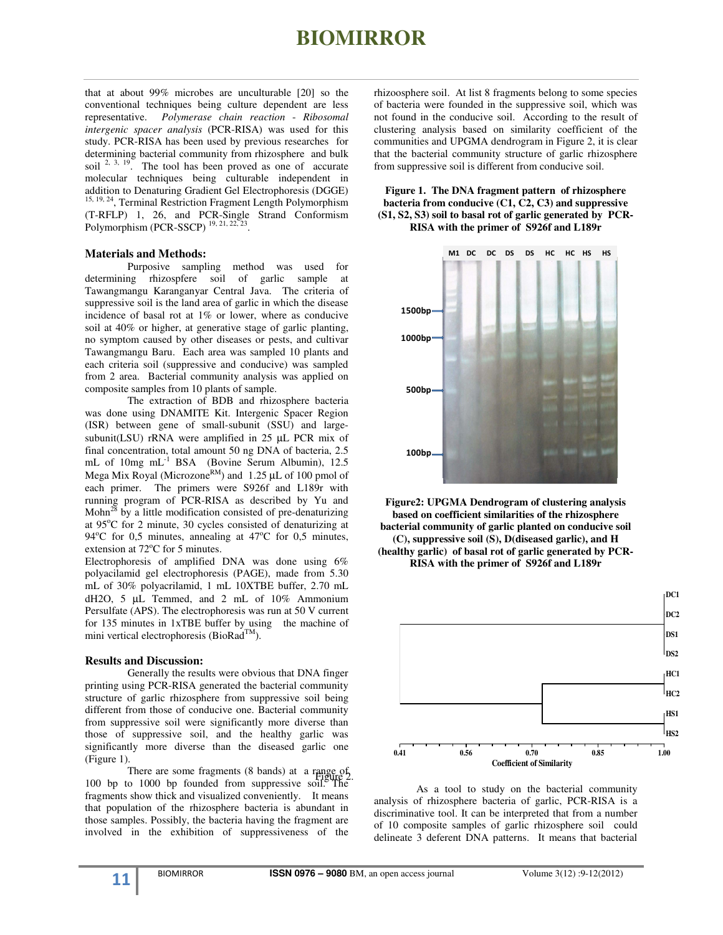### **BIOMIRROR**

that at about 99% microbes are unculturable [20] so the conventional techniques being culture dependent are less representative. *Polymerase chain reaction* - *Ribosomal intergenic spacer analysis* (PCR-RISA) was used for this study. PCR-RISA has been used by previous researches for determining bacterial community from rhizosphere and bulk soil  $2, 3, 19$ . The tool has been proved as one of accurate molecular techniques being culturable independent in addition to Denaturing Gradient Gel Electrophoresis (DGGE) 15, 19, 24, Terminal Restriction Fragment Length Polymorphism (T-RFLP) 1, 26, and PCR-Single Strand Conformism Polymorphism (PCR-SSCP)<sup>19, 21, 22</sup> .

#### **Materials and Methods:**

Purposive sampling method was used for determining rhizospfere soil of garlic sample at Tawangmangu Karanganyar Central Java. The criteria of suppressive soil is the land area of garlic in which the disease incidence of basal rot at 1% or lower, where as conducive soil at 40% or higher, at generative stage of garlic planting. no symptom caused by other diseases or pests, and cultivar Tawangmangu Baru. Each area was sampled 10 plants and each criteria soil (suppressive and conducive) was sampled from 2 area. Bacterial community analysis was applied on composite samples from 10 plants of sample.

The extraction of BDB and rhizosphere bacteria was done using DNAMITE Kit. Intergenic Spacer Region (ISR) between gene of small-subunit (SSU) and largesubunit(LSU) rRNA were amplified in 25 µL PCR mix of final concentration, total amount 50 ng DNA of bacteria, 2.5 mL of 10mg mL-1 BSA (Bovine Serum Albumin), 12.5 Mega Mix Royal (Microzone<sup>RM</sup>) and 1.25 µL of 100 pmol of each primer. The primers were S926f and L189r with running program of PCR-RISA as described by Yu and Mohn<sup>28</sup> by a little modification consisted of pre-denaturizing at 95°C for 2 minute, 30 cycles consisted of denaturizing at 94 $\degree$ C for 0,5 minutes, annealing at 47 $\degree$ C for 0,5 minutes, extension at  $72^{\circ}$ C for 5 minutes.

Electrophoresis of amplified DNA was done using 6% polyacilamid gel electrophoresis (PAGE), made from 5.30 mL of 30% polyacrilamid, 1 mL 10XTBE buffer, 2.70 mL dH2O, 5 µL Temmed, and 2 mL of 10% Ammonium Persulfate (APS). The electrophoresis was run at 50 V current for 135 minutes in 1xTBE buffer by using the machine of mini vertical electrophoresis (BioRad<sup>TM</sup>).

#### **Results and Discussion:**

Generally the results were obvious that DNA finger printing using PCR-RISA generated the bacterial community structure of garlic rhizosphere from suppressive soil being different from those of conducive one. Bacterial community from suppressive soil were significantly more diverse than those of suppressive soil, and the healthy garlic was significantly more diverse than the diseased garlic one (Figure 1).

There are some fragments (8 bands) at a range of 100 bp to 1000 bp founded from suppressive soil. The fragments show thick and visualized conveniently. It means that population of the rhizosphere bacteria is abundant in those samples. Possibly, the bacteria having the fragment are involved in the exhibition of suppressiveness of the

rhizoosphere soil. At list 8 fragments belong to some species of bacteria were founded in the suppressive soil, which was not found in the conducive soil. According to the result of clustering analysis based on similarity coefficient of the communities and UPGMA dendrogram in Figure 2, it is clear that the bacterial community structure of garlic rhizosphere from suppressive soil is different from conducive soil.

**Figure 1. The DNA fragment pattern of rhizosphere bacteria from conducive (C1, C2, C3) and suppressive (S1, S2, S3) soil to basal rot of garlic generated by PCR-RISA with the primer of S926f and L189r**







 As a tool to study on the bacterial community analysis of rhizosphere bacteria of garlic, PCR-RISA is a discriminative tool. It can be interpreted that from a number of 10 composite samples of garlic rhizosphere soil could delineate 3 deferent DNA patterns. It means that bacterial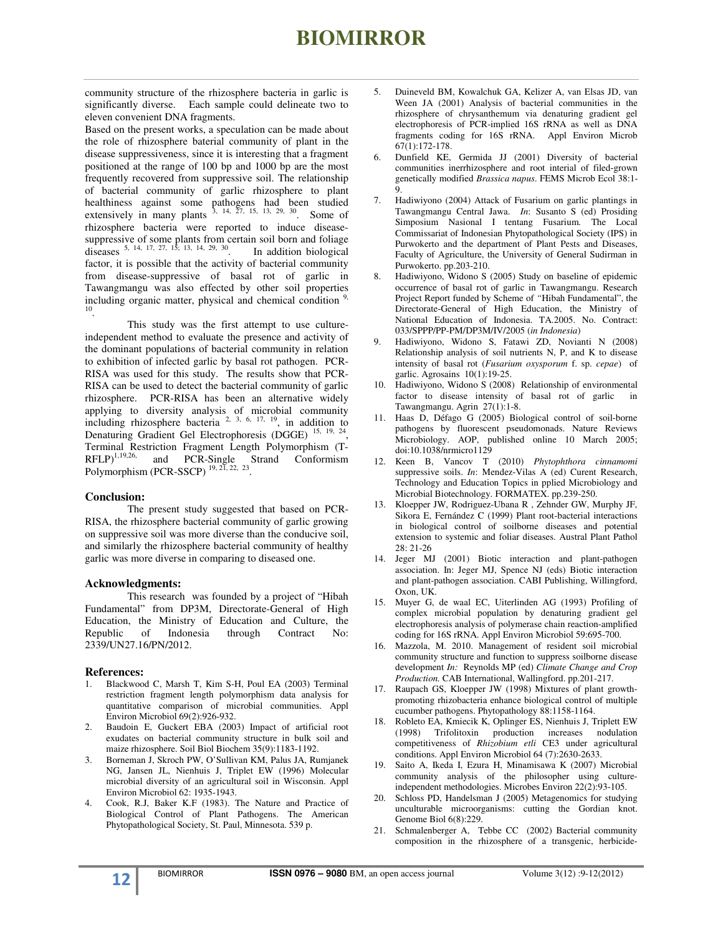## **BIOMIRROR**

community structure of the rhizosphere bacteria in garlic is significantly diverse. Each sample could delineate two to eleven convenient DNA fragments.

Based on the present works, a speculation can be made about the role of rhizosphere baterial community of plant in the disease suppressiveness, since it is interesting that a fragment positioned at the range of 100 bp and 1000 bp are the most frequently recovered from suppressive soil. The relationship of bacterial community of garlic rhizosphere to plant healthiness against some pathogens had been studied extensively in many plants  $3, 14, 27, 15, 13, 29, 30$ . Some of rhizosphere bacteria were reported to induce diseasesuppressive of some plants from certain soil born and foliage diseases  $5, 14, 17, 27, 15, 13, 14, 29, 30$  In addition biological diseases  $5, 14, 17, 27, 15, 13, 14, 29, 30$ factor, it is possible that the activity of bacterial community from disease-suppressive of basal rot of garlic in Tawangmangu was also effected by other soil properties including organic matter, physical and chemical condition  $9$ , 10 .

 This study was the first attempt to use cultureindependent method to evaluate the presence and activity of the dominant populations of bacterial community in relation to exhibition of infected garlic by basal rot pathogen. PCR-RISA was used for this study. The results show that PCR-RISA can be used to detect the bacterial community of garlic rhizosphere. PCR-RISA has been an alternative widely applying to diversity analysis of microbial community including rhizosphere bacteria  $2, 3, 6, 17, 19$ , in addition to Denaturing Gradient Gel Electrophoresis (DGGE)<sup>15, 19, 24</sup>, Terminal Restriction Fragment Length Polymorphism (T-<br>RFLP)<sup>1,19,26,</sup> and PCR-Single Strand Conformism  $RFLP$ <sup>1,19,26,</sup> and  $PCR\text{-}Single$  Strand Conformism Polymorphism (PCR-SSCP)  $19, 21, 22, 23$ .

#### **Conclusion:**

The present study suggested that based on PCR-RISA, the rhizosphere bacterial community of garlic growing on suppressive soil was more diverse than the conducive soil, and similarly the rhizosphere bacterial community of healthy garlic was more diverse in comparing to diseased one.

#### **Acknowledgments:**

This research was founded by a project of "Hibah Fundamental" from DP3M, Directorate-General of High Education, the Ministry of Education and Culture, the Republic of Indonesia through Contract No: 2339/UN27.16/PN/2012.

#### **References:**

- 1. Blackwood C, Marsh T, Kim S-H, Poul EA (2003) Terminal restriction fragment length polymorphism data analysis for quantitative comparison of microbial communities. Appl Environ Microbiol 69(2):926-932.
- 2. Baudoin E, Guckert EBA (2003) Impact of artificial root exudates on bacterial community structure in bulk soil and maize rhizosphere. Soil Biol Biochem 35(9):1183-1192.
- 3. Borneman J, Skroch PW, O'Sullivan KM, Palus JA, Rumjanek NG, Jansen JL, Nienhuis J, Triplet EW (1996) Molecular microbial diversity of an agricultural soil in Wisconsin. Appl Environ Microbiol 62: 1935-1943.
- 4. Cook, R.J, Baker K.F (1983). The Nature and Practice of Biological Control of Plant Pathogens. The American Phytopathological Society, St. Paul, Minnesota. 539 p.
- 5. Duineveld BM, Kowalchuk GA, Kelizer A, van Elsas JD, van Ween JA (2001) Analysis of bacterial communities in the rhizosphere of chrysanthemum via denaturing gradient gel electrophoresis of PCR-implied 16S rRNA as well as DNA fragments coding for 16S rRNA. Appl Environ Microb 67(1):172-178.
- 6. Dunfield KE, Germida JJ (2001) Diversity of bacterial communities inerrhizosphere and root interial of filed-grown genetically modified *Brassica napus*. FEMS Microb Ecol 38:1- 9.
- 7. Hadiwiyono (2004) Attack of Fusarium on garlic plantings in Tawangmangu Central Jawa. *In*: Susanto S (ed) Prosiding Simposium Nasional I tentang Fusarium*.* The Local Commissariat of Indonesian Phytopathological Society (IPS) in Purwokerto and the department of Plant Pests and Diseases, Faculty of Agriculture, the University of General Sudirman in Purwokerto. pp.203-210.
- 8. Hadiwiyono, Widono S (2005) Study on baseline of epidemic occurrence of basal rot of garlic in Tawangmangu. Research Project Report funded by Scheme of *"*Hibah Fundamental", the Directorate-General of High Education, the Ministry of National Education of Indonesia. TA.2005. No. Contract: 033/SPPP/PP-PM/DP3M/IV/2005 (*in Indonesia*)
- 9. Hadiwiyono, Widono S, Fatawi ZD, Novianti N (2008) Relationship analysis of soil nutrients N, P, and K to disease intensity of basal rot (*Fusarium oxysporum* f. sp. *cepae*) of garlic. Agrosains 10(1):19-25.
- 10. Hadiwiyono, Widono S (2008) Relationship of environmental factor to disease intensity of basal rot of garlic in Tawangmangu. Agrin 27(1):1-8.
- 11. Haas D, Défago G (2005) Biological control of soil-borne pathogens by fluorescent pseudomonads. Nature Reviews Microbiology. AOP, published online 10 March 2005; doi:10.1038/nrmicro1129
- 12. Keen B, Vancov T (2010) *Phytophthora cinnamomi* suppressive soils. *In*: Mendez-Vilas A (ed) Curent Research, Technology and Education Topics in pplied Microbiology and Microbial Biotechnology. FORMATEX. pp.239-250.
- 13. Kloepper JW, Rodriguez-Ubana R , Zehnder GW, Murphy JF, Sikora E, Fernández C (1999) Plant root-bacterial interactions in biological control of soilborne diseases and potential extension to systemic and foliar diseases. Austral Plant Pathol 28: 21-26
- 14. Jeger MJ (2001) Biotic interaction and plant-pathogen association. In: Jeger MJ, Spence NJ (eds) Biotic interaction and plant-pathogen association. CABI Publishing, Willingford, Oxon, UK.
- 15. Muyer G, de waal EC, Uiterlinden AG (1993) Profiling of complex microbial population by denaturing gradient gel electrophoresis analysis of polymerase chain reaction-amplified coding for 16S rRNA. Appl Environ Microbiol 59:695-700.
- 16. Mazzola, M. 2010. Management of resident soil microbial community structure and function to suppress soilborne disease development *In:* Reynolds MP (ed) *Climate Change and Crop Production.* CAB International, Wallingford. pp.201-217.
- 17. Raupach GS, Kloepper JW (1998) Mixtures of plant growthpromoting rhizobacteria enhance biological control of multiple cucumber pathogens. Phytopathology 88:1158-1164.
- 18. Robleto EA, Kmiecik K, Oplinger ES, Nienhuis J, Triplett EW (1998) Trifolitoxin production increases nodulation competitiveness of *Rhizobium etli* CE3 under agricultural conditions. Appl Environ Microbiol 64 (7):2630-2633.
- 19. Saito A, Ikeda I, Ezura H, Minamisawa K (2007) Microbial community analysis of the philosopher using cultureindependent methodologies. Microbes Environ 22(2):93-105.
- 20. Schloss PD, Handelsman J (2005) Metagenomics for studying unculturable microorganisms: cutting the Gordian knot. Genome Biol 6(8):229.
- 21. Schmalenberger A, Tebbe CC (2002) Bacterial community composition in the rhizosphere of a transgenic, herbicide-